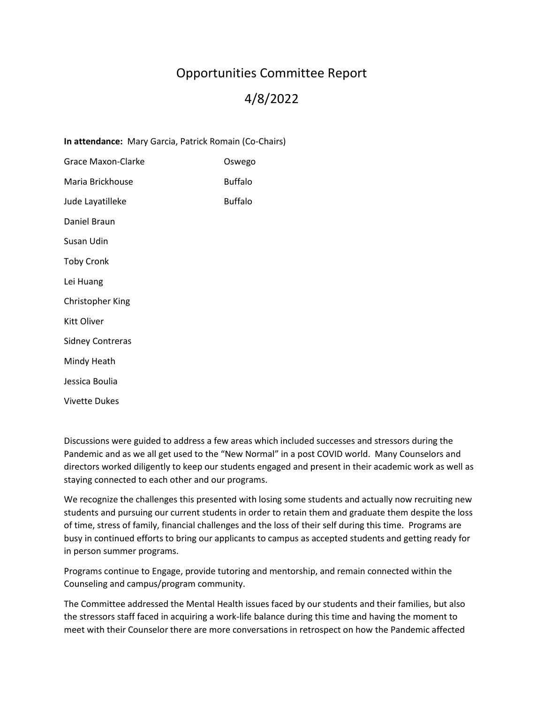## Opportunities Committee Report 4/8/2022

**In attendance:** Mary Garcia, Patrick Romain (Co-Chairs) Grace Maxon-Clarke **Canadian Control** Oswego Maria Brickhouse **Buffalo** Jude Layatilleke Buffalo Daniel Braun Susan Udin Toby Cronk Lei Huang Christopher King Kitt Oliver Sidney Contreras Mindy Heath Jessica Boulia Vivette Dukes

Discussions were guided to address a few areas which included successes and stressors during the Pandemic and as we all get used to the "New Normal" in a post COVID world. Many Counselors and directors worked diligently to keep our students engaged and present in their academic work as well as staying connected to each other and our programs.

We recognize the challenges this presented with losing some students and actually now recruiting new students and pursuing our current students in order to retain them and graduate them despite the loss of time, stress of family, financial challenges and the loss of their self during this time. Programs are busy in continued efforts to bring our applicants to campus as accepted students and getting ready for in person summer programs.

Programs continue to Engage, provide tutoring and mentorship, and remain connected within the Counseling and campus/program community.

The Committee addressed the Mental Health issues faced by our students and their families, but also the stressors staff faced in acquiring a work-life balance during this time and having the moment to meet with their Counselor there are more conversations in retrospect on how the Pandemic affected